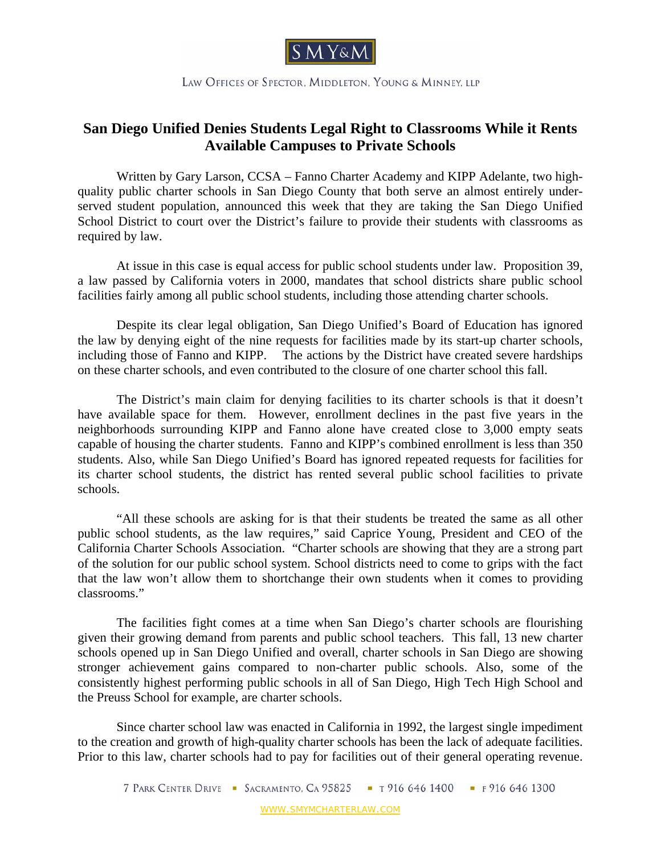

LAW OFFICES OF SPECTOR, MIDDLETON, YOUNG & MINNEY, LLP

## **San Diego Unified Denies Students Legal Right to Classrooms While it Rents Available Campuses to Private Schools**

Written by Gary Larson, CCSA – Fanno Charter Academy and KIPP Adelante, two highquality public charter schools in San Diego County that both serve an almost entirely underserved student population, announced this week that they are taking the San Diego Unified School District to court over the District's failure to provide their students with classrooms as required by law.

At issue in this case is equal access for public school students under law. Proposition 39, a law passed by California voters in 2000, mandates that school districts share public school facilities fairly among all public school students, including those attending charter schools.

Despite its clear legal obligation, San Diego Unified's Board of Education has ignored the law by denying eight of the nine requests for facilities made by its start-up charter schools, including those of Fanno and KIPP. The actions by the District have created severe hardships on these charter schools, and even contributed to the closure of one charter school this fall.

The District's main claim for denying facilities to its charter schools is that it doesn't have available space for them. However, enrollment declines in the past five years in the neighborhoods surrounding KIPP and Fanno alone have created close to 3,000 empty seats capable of housing the charter students. Fanno and KIPP's combined enrollment is less than 350 students. Also, while San Diego Unified's Board has ignored repeated requests for facilities for its charter school students, the district has rented several public school facilities to private schools.

"All these schools are asking for is that their students be treated the same as all other public school students, as the law requires," said Caprice Young, President and CEO of the California Charter Schools Association. "Charter schools are showing that they are a strong part of the solution for our public school system. School districts need to come to grips with the fact that the law won't allow them to shortchange their own students when it comes to providing classrooms."

The facilities fight comes at a time when San Diego's charter schools are flourishing given their growing demand from parents and public school teachers. This fall, 13 new charter schools opened up in San Diego Unified and overall, charter schools in San Diego are showing stronger achievement gains compared to non-charter public schools. Also, some of the consistently highest performing public schools in all of San Diego, High Tech High School and the Preuss School for example, are charter schools.

 Since charter school law was enacted in California in 1992, the largest single impediment to the creation and growth of high-quality charter schools has been the lack of adequate facilities. Prior to this law, charter schools had to pay for facilities out of their general operating revenue.